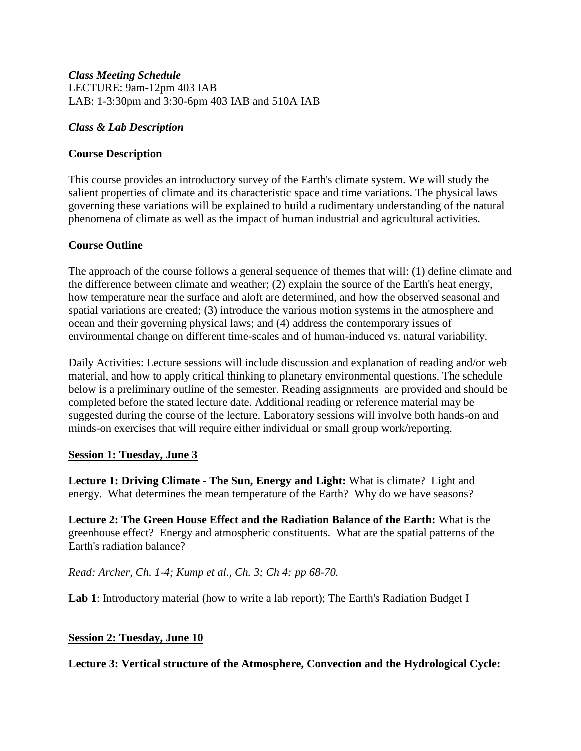### *Class Meeting Schedule* LECTURE: 9am-12pm 403 IAB LAB: 1-3:30pm and 3:30-6pm 403 IAB and 510A IAB

## *Class & Lab Description*

## **Course Description**

This course provides an introductory survey of the Earth's climate system. We will study the salient properties of climate and its characteristic space and time variations. The physical laws governing these variations will be explained to build a rudimentary understanding of the natural phenomena of climate as well as the impact of human industrial and agricultural activities.

## **Course Outline**

The approach of the course follows a general sequence of themes that will: (1) define climate and the difference between climate and weather; (2) explain the source of the Earth's heat energy, how temperature near the surface and aloft are determined, and how the observed seasonal and spatial variations are created; (3) introduce the various motion systems in the atmosphere and ocean and their governing physical laws; and (4) address the contemporary issues of environmental change on different time-scales and of human-induced vs. natural variability.

Daily Activities: Lecture sessions will include discussion and explanation of reading and/or web material, and how to apply critical thinking to planetary environmental questions. The schedule below is a preliminary outline of the semester. Reading assignments are provided and should be completed before the stated lecture date. Additional reading or reference material may be suggested during the course of the lecture. Laboratory sessions will involve both hands-on and minds-on exercises that will require either individual or small group work/reporting.

### **Session 1: Tuesday, June 3**

**Lecture 1: Driving Climate - The Sun, Energy and Light:** What is climate? Light and energy. What determines the mean temperature of the Earth? Why do we have seasons?

**Lecture 2: The Green House Effect and the Radiation Balance of the Earth:** What is the greenhouse effect? Energy and atmospheric constituents. What are the spatial patterns of the Earth's radiation balance?

*Read: Archer, Ch. 1-4; Kump et al., Ch. 3; Ch 4: pp 68-70.*

**Lab 1**: Introductory material (how to write a lab report); The Earth's Radiation Budget I

### **Session 2: Tuesday, June 10**

**Lecture 3: Vertical structure of the Atmosphere, Convection and the Hydrological Cycle:**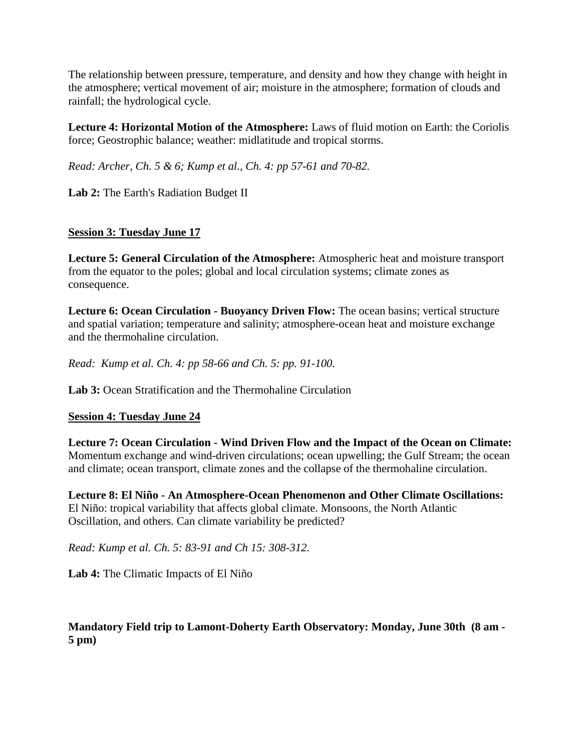The relationship between pressure, temperature, and density and how they change with height in the atmosphere; vertical movement of air; moisture in the atmosphere; formation of clouds and rainfall; the hydrological cycle.

**Lecture 4: Horizontal Motion of the Atmosphere:** Laws of fluid motion on Earth: the Coriolis force; Geostrophic balance; weather: midlatitude and tropical storms.

*Read: Archer, Ch. 5 & 6; Kump et al., Ch. 4: pp 57-61 and 70-82.* 

**Lab 2:** The Earth's Radiation Budget II

# **Session 3: Tuesday June 17**

**Lecture 5: General Circulation of the Atmosphere:** Atmospheric heat and moisture transport from the equator to the poles; global and local circulation systems; climate zones as consequence.

**Lecture 6: Ocean Circulation - Buoyancy Driven Flow:** The ocean basins; vertical structure and spatial variation; temperature and salinity; atmosphere-ocean heat and moisture exchange and the thermohaline circulation.

*Read: Kump et al. Ch. 4: pp 58-66 and Ch. 5: pp. 91-100.*

Lab 3: Ocean Stratification and the Thermohaline Circulation

# **Session 4: Tuesday June 24**

**Lecture 7: Ocean Circulation - Wind Driven Flow and the Impact of the Ocean on Climate:** Momentum exchange and wind-driven circulations; ocean upwelling; the Gulf Stream; the ocean and climate; ocean transport, climate zones and the collapse of the thermohaline circulation.

**Lecture 8: El Niño - An Atmosphere-Ocean Phenomenon and Other Climate Oscillations:** El Niño: tropical variability that affects global climate. Monsoons, the North Atlantic Oscillation, and others. Can climate variability be predicted?

*Read: Kump et al. Ch. 5: 83-91 and Ch 15: 308-312.*

**Lab 4:** The Climatic Impacts of El Niño

# **Mandatory Field trip to Lamont-Doherty Earth Observatory: Monday, June 30th (8 am - 5 pm)**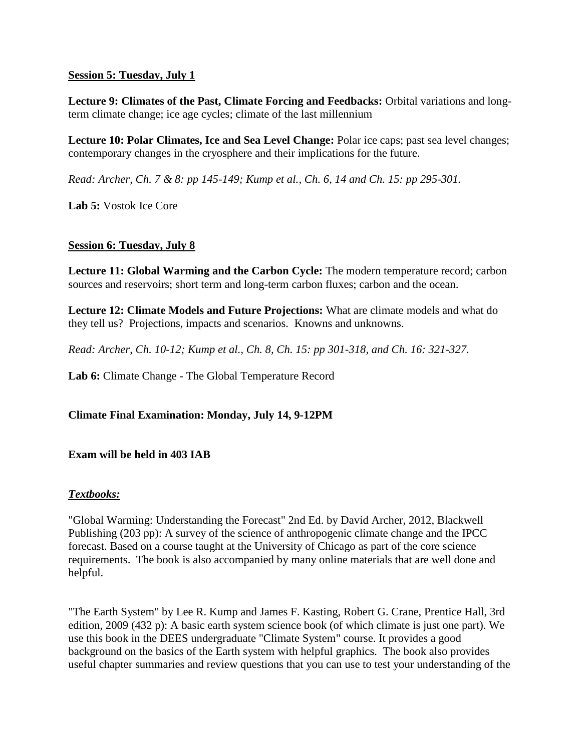### **Session 5: Tuesday, July 1**

**Lecture 9: Climates of the Past, Climate Forcing and Feedbacks:** Orbital variations and longterm climate change; ice age cycles; climate of the last millennium

**Lecture 10: Polar Climates, Ice and Sea Level Change:** Polar ice caps; past sea level changes; contemporary changes in the cryosphere and their implications for the future.

*Read: Archer, Ch. 7 & 8: pp 145-149; Kump et al., Ch. 6, 14 and Ch. 15: pp 295-301.*

**Lab 5:** Vostok Ice Core

## **Session 6: Tuesday, July 8**

**Lecture 11: Global Warming and the Carbon Cycle:** The modern temperature record; carbon sources and reservoirs; short term and long-term carbon fluxes; carbon and the ocean.

**Lecture 12: Climate Models and Future Projections:** What are climate models and what do they tell us? Projections, impacts and scenarios. Knowns and unknowns.

*Read: Archer, Ch. 10-12; Kump et al., Ch. 8, Ch. 15: pp 301-318, and Ch. 16: 321-327.*

Lab 6: Climate Change - The Global Temperature Record

**Climate Final Examination: Monday, July 14, 9-12PM**

### **Exam will be held in 403 IAB**

### *Textbooks:*

"Global Warming: Understanding the Forecast" 2nd Ed. by David Archer, 2012, Blackwell Publishing (203 pp): A survey of the science of anthropogenic climate change and the IPCC forecast. Based on a course taught at the University of Chicago as part of the core science requirements. The book is also accompanied by many online materials that are well done and helpful.

"The Earth System" by Lee R. Kump and James F. Kasting, Robert G. Crane, Prentice Hall, 3rd edition, 2009 (432 p): A basic earth system science book (of which climate is just one part). We use this book in the DEES undergraduate "Climate System" course. It provides a good background on the basics of the Earth system with helpful graphics. The book also provides useful chapter summaries and review questions that you can use to test your understanding of the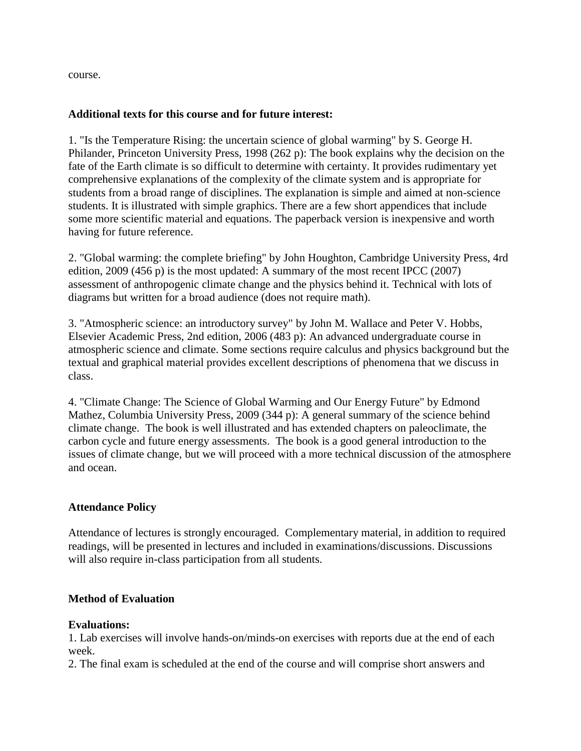course.

#### **Additional texts for this course and for future interest:**

1. "Is the Temperature Rising: the uncertain science of global warming" by S. George H. Philander, Princeton University Press, 1998 (262 p): The book explains why the decision on the fate of the Earth climate is so difficult to determine with certainty. It provides rudimentary yet comprehensive explanations of the complexity of the climate system and is appropriate for students from a broad range of disciplines. The explanation is simple and aimed at non-science students. It is illustrated with simple graphics. There are a few short appendices that include some more scientific material and equations. The paperback version is inexpensive and worth having for future reference.

2. "Global warming: the complete briefing" by John Houghton, Cambridge University Press, 4rd edition, 2009 (456 p) is the most updated: A summary of the most recent IPCC (2007) assessment of anthropogenic climate change and the physics behind it. Technical with lots of diagrams but written for a broad audience (does not require math).

3. "Atmospheric science: an introductory survey" by John M. Wallace and Peter V. Hobbs, Elsevier Academic Press, 2nd edition, 2006 (483 p): An advanced undergraduate course in atmospheric science and climate. Some sections require calculus and physics background but the textual and graphical material provides excellent descriptions of phenomena that we discuss in class.

4. "Climate Change: The Science of Global Warming and Our Energy Future" by Edmond Mathez, Columbia University Press, 2009 (344 p): A general summary of the science behind climate change. The book is well illustrated and has extended chapters on paleoclimate, the carbon cycle and future energy assessments. The book is a good general introduction to the issues of climate change, but we will proceed with a more technical discussion of the atmosphere and ocean.

### **Attendance Policy**

Attendance of lectures is strongly encouraged. Complementary material, in addition to required readings, will be presented in lectures and included in examinations/discussions. Discussions will also require in-class participation from all students.

#### **Method of Evaluation**

#### **Evaluations:**

1. Lab exercises will involve hands-on/minds-on exercises with reports due at the end of each week.

2. The final exam is scheduled at the end of the course and will comprise short answers and